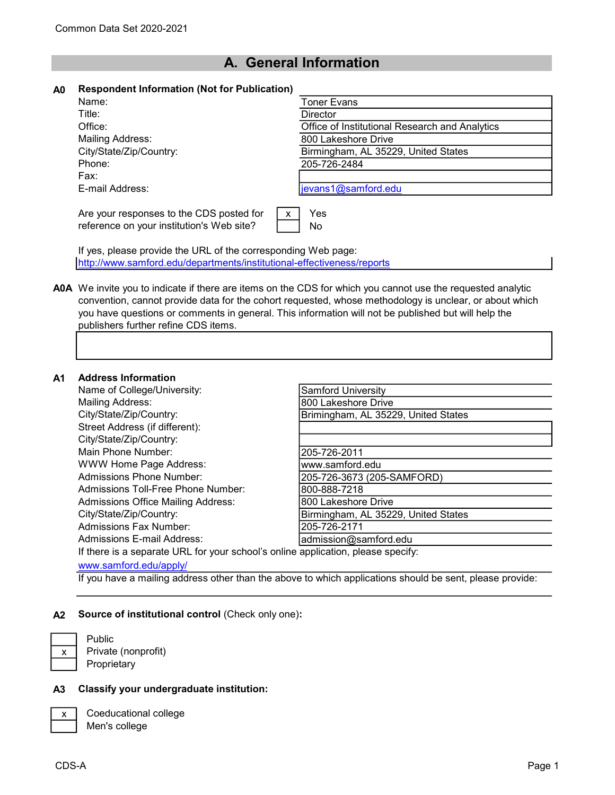# A. General Information

| A0 | <b>Respondent Information (Not for Publication)</b> |  |  |  |
|----|-----------------------------------------------------|--|--|--|
|----|-----------------------------------------------------|--|--|--|

| Name:                                     | Toner Evans                                    |
|-------------------------------------------|------------------------------------------------|
| Title:                                    | Director                                       |
| Office:                                   | Office of Institutional Research and Analytics |
| Mailing Address:                          | 800 Lakeshore Drive                            |
| City/State/Zip/Country:                   | Birmingham, AL 35229, United States            |
| Phone:                                    | 205-726-2484                                   |
| Fax:                                      |                                                |
| E-mail Address:                           | jevans1@samford.edu                            |
|                                           |                                                |
| Are your responses to the CDS posted for  | Yes<br>X                                       |
| reference on your institution's Web site? | No                                             |
|                                           |                                                |

If yes, please provide the URL of the corresponding Web page: http://www.samford.edu/departments/institutional-effectiveness/reports

A0A We invite you to indicate if there are items on the CDS for which you cannot use the requested analytic convention, cannot provide data for the cohort requested, whose methodology is unclear, or about which you have questions or comments in general. This information will not be published but will help the publishers further refine CDS items.

## A1 Address Information

| Аччгсээ шгэншанэн                                                                |                                     |  |
|----------------------------------------------------------------------------------|-------------------------------------|--|
| Name of College/University:                                                      | <b>Samford University</b>           |  |
| <b>Mailing Address:</b>                                                          | 800 Lakeshore Drive                 |  |
| City/State/Zip/Country:                                                          | Brimingham, AL 35229, United States |  |
| Street Address (if different):                                                   |                                     |  |
| City/State/Zip/Country:                                                          |                                     |  |
| Main Phone Number:                                                               | 205-726-2011                        |  |
| <b>WWW Home Page Address:</b>                                                    | www.samford.edu                     |  |
| Admissions Phone Number:                                                         | 205-726-3673 (205-SAMFORD)          |  |
| Admissions Toll-Free Phone Number:                                               | 800-888-7218                        |  |
| Admissions Office Mailing Address:                                               | 800 Lakeshore Drive                 |  |
| City/State/Zip/Country:                                                          | Birmingham, AL 35229, United States |  |
| <b>Admissions Fax Number:</b>                                                    | 205-726-2171                        |  |
| Admissions E-mail Address:                                                       | admission@samford.edu               |  |
| If there is a separate URL for your school's online application, please specify: |                                     |  |
| www.samford.edu/apply/                                                           |                                     |  |

If you have a mailing address other than the above to which applications should be sent, please provide:

#### A2 Source of institutional control (Check only one):

Private (nonprofit) **Proprietary** 

Public

### A3 Classify your undergraduate institution:

Coeducational college Men's college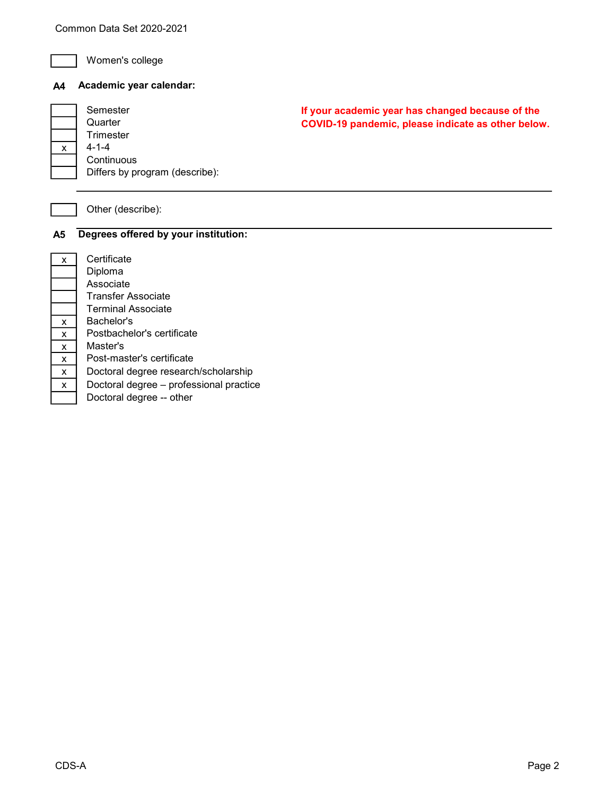

 $\,$   $\,$   $\,$ 

Women's college

# A4 Academic year calendar:

| Semester                       |
|--------------------------------|
| Quarter                        |
| Trimester                      |
| 4-1-4                          |
| Continuous                     |
| Differs by program (describe): |
|                                |

If your academic year has changed because of the COVID-19 pandemic, please indicate as other below.

# Other (describe):

# A5 Degrees offered by your institution:

| X                               |                          |
|---------------------------------|--------------------------|
|                                 | ا<br>ا                   |
|                                 | l                        |
|                                 |                          |
|                                 |                          |
| $\frac{\mathsf{x}}{\mathsf{y}}$ |                          |
| $\overline{\mathbf{x}}$         |                          |
| $\overline{\mathsf{x}}$         | <br> <br> <br>           |
| $\overline{\mathbf{x}}$         |                          |
| X                               | $\overline{\phantom{a}}$ |
| x                               | $\overline{\phantom{a}}$ |
|                                 |                          |

Certificate Diploma Associate Transfer Associate Terminal Associate Bachelor's Postbachelor's certificate Master's Post-master's certificate Doctoral degree research/scholarship Doctoral degree – professional practice Doctoral degree -- other